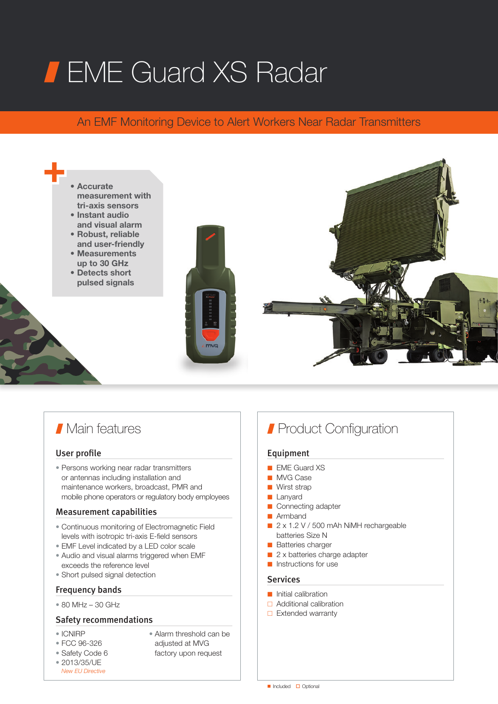# **FIME Guard XS Radar**

# An EMF Monitoring Device to Alert Workers Near Radar Transmitters



# **Main features**

# User profile

• Persons working near radar transmitters or antennas including installation and maintenance workers, broadcast, PMR and mobile phone operators or regulatory body employees

## Measurement capabilities

- Continuous monitoring of Electromagnetic Field levels with isotropic tri-axis E-field sensors
- EMF Level indicated by a LED color scale
- Audio and visual alarms triggered when EMF exceeds the reference level
- Short pulsed signal detection

# Frequency bands

• 80 MHz – 30 GHz

# Safety recommendations

- ICNIRP
- FCC 96-326
- Safety Code 6
- Alarm threshold can be adjusted at MVG
- factory upon request
- 2013/35/UE *New EU Directive*

# **Product Configuration**

# Equipment

- EME Guard XS
- MVG Case
- Wirst strap
- Lanyard
- Connecting adapter
- Armband
- 2 x 1.2 V / 500 mAh NiMH rechargeable batteries Size N
- Batteries charger
- 2 x batteries charge adapter
- Instructions for use

## **Services**

- Initial calibration
- □ Additional calibration
- $\Box$  Extended warranty